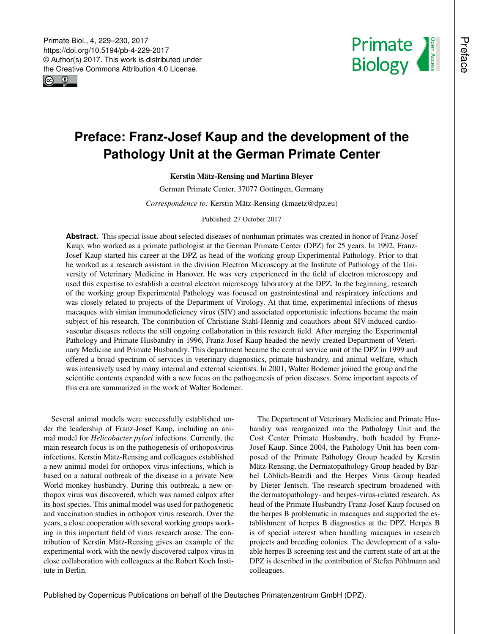<span id="page-0-0"></span> $\boxed{6}$   $\boxed{0}$ 



## **Preface: Franz-Josef Kaup and the development of the Pathology Unit at the German Primate Center**

## Kerstin Mätz-Rensing and Martina Bleyer

German Primate Center, 37077 Göttingen, Germany

*Correspondence to:* Kerstin Mätz-Rensing (kmaetz@dpz.eu)

Published: 27 October 2017

**Abstract.** This special issue about selected diseases of nonhuman primates was created in honor of Franz-Josef Kaup, who worked as a primate pathologist at the German Primate Center (DPZ) for 25 years. In 1992, Franz-Josef Kaup started his career at the DPZ as head of the working group Experimental Pathology. Prior to that he worked as a research assistant in the division Electron Microscopy at the Institute of Pathology of the University of Veterinary Medicine in Hanover. He was very experienced in the field of electron microscopy and used this expertise to establish a central electron microscopy laboratory at the DPZ. In the beginning, research of the working group Experimental Pathology was focused on gastrointestinal and respiratory infections and was closely related to projects of the Department of Virology. At that time, experimental infections of rhesus macaques with simian immunodeficiency virus (SIV) and associated opportunistic infections became the main subject of his research. The contribution of Christiane Stahl-Hennig and coauthors about SIV-induced cardiovascular diseases reflects the still ongoing collaboration in this research field. After merging the Experimental Pathology and Primate Husbandry in 1996, Franz-Josef Kaup headed the newly created Department of Veterinary Medicine and Primate Husbandry. This department became the central service unit of the DPZ in 1999 and offered a broad spectrum of services in veterinary diagnostics, primate husbandry, and animal welfare, which was intensively used by many internal and external scientists. In 2001, Walter Bodemer joined the group and the scientific contents expanded with a new focus on the pathogenesis of prion diseases. Some important aspects of this era are summarized in the work of Walter Bodemer.

Several animal models were successfully established under the leadership of Franz-Josef Kaup, including an animal model for *Helicobacter pylori* infections. Currently, the main research focus is on the pathogenesis of orthopoxvirus infections. Kerstin Mätz-Rensing and colleagues established a new animal model for orthopox virus infections, which is based on a natural outbreak of the disease in a private New World monkey husbandry. During this outbreak, a new orthopox virus was discovered, which was named calpox after its host species. This animal model was used for pathogenetic and vaccination studies in orthopox virus research. Over the years, a close cooperation with several working groups working in this important field of virus research arose. The contribution of Kerstin Mätz-Rensing gives an example of the experimental work with the newly discovered calpox virus in close collaboration with colleagues at the Robert Koch Institute in Berlin.

The Department of Veterinary Medicine and Primate Husbandry was reorganized into the Pathology Unit and the Cost Center Primate Husbandry, both headed by Franz-Josef Kaup. Since 2004, the Pathology Unit has been composed of the Primate Pathology Group headed by Kerstin Mätz-Rensing, the Dermatopathology Group headed by Bärbel Löblich-Beardi and the Herpes Virus Group headed by Dieter Jentsch. The research spectrum broadened with the dermatopathology- and herpes-virus-related research. As head of the Primate Husbandry Franz-Josef Kaup focused on the herpes B problematic in macaques and supported the establishment of herpes B diagnostics at the DPZ. Herpes B is of special interest when handling macaques in research projects and breeding colonies. The development of a valuable herpes B screening test and the current state of art at the DPZ is described in the contribution of Stefan Pöhlmann and colleagues.